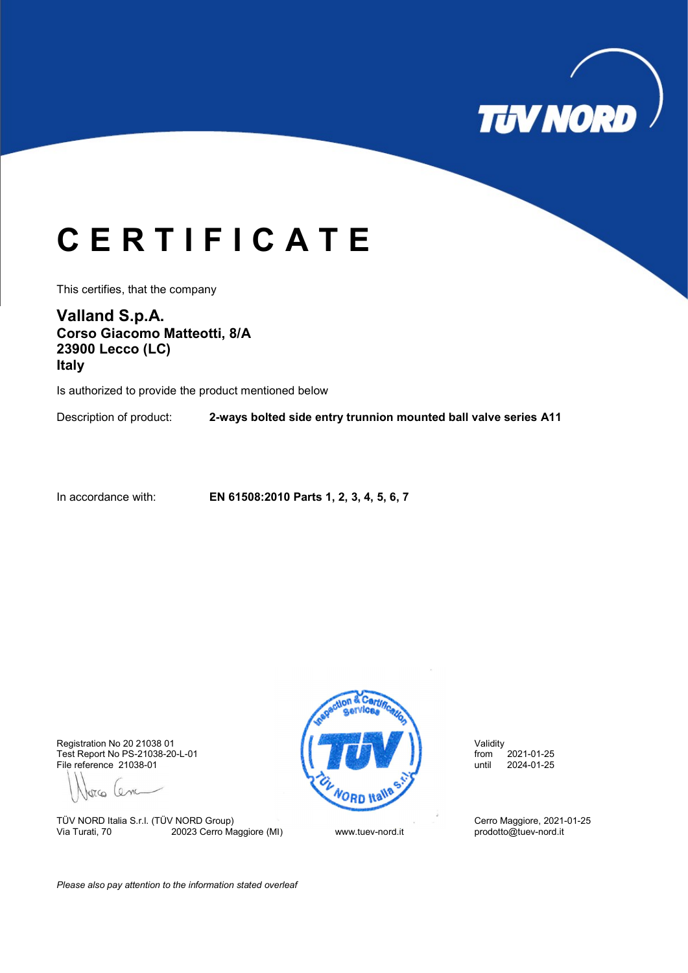

## C E R T I F I C A T E

This certifies, that the company

Valland S.p.A. Corso Giacomo Matteotti, 8/A 23900 Lecco (LC) Italy

Is authorized to provide the product mentioned below

Description of product: 2-ways bolted side entry trunnion mounted ball valve series A11

In accordance with: EN 61508:2010 Parts 1, 2, 3, 4, 5, 6, 7

File reference 21038-01

Jorco Cem

TÜV NORD Italia S.r.l. (TÜV NORD Group)<br>
Via Turati, 70 20023 Cerro Maggiore (MI) Cerro Work Luev-nord.it prodotto@tuev-nord.it 20023 Cerro Maggiore (MI)



Please also pay attention to the information stated overleaf